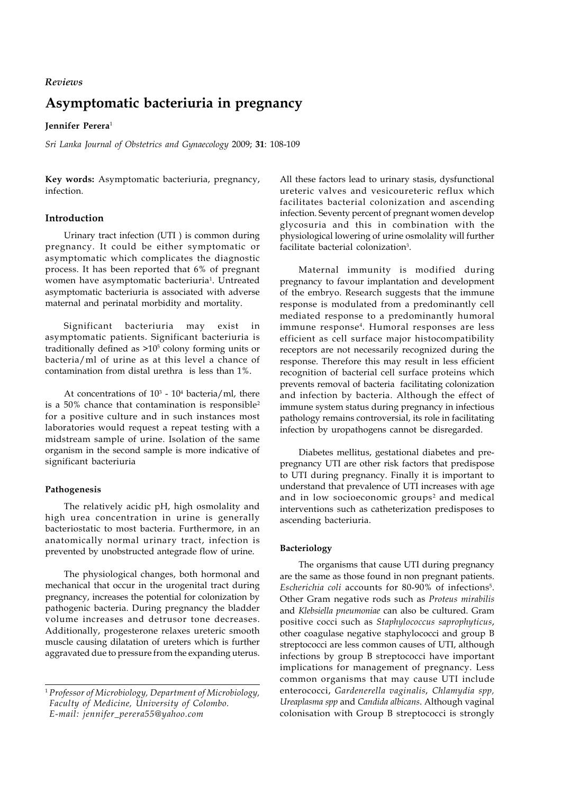# *Reviews*

# **Asymptomatic bacteriuria in pregnancy**

## **Jennifer Perera**<sup>1</sup>

*Sri Lanka Journal of Obstetrics and Gynaecology* 2009; **31**: 108-109

**Key words:** Asymptomatic bacteriuria, pregnancy, infection.

# **Introduction**

Urinary tract infection (UTI ) is common during pregnancy. It could be either symptomatic or asymptomatic which complicates the diagnostic process. It has been reported that 6% of pregnant women have asymptomatic bacteriuria<sup>1</sup>. Untreated asymptomatic bacteriuria is associated with adverse maternal and perinatal morbidity and mortality.

Significant bacteriuria may exist in asymptomatic patients. Significant bacteriuria is traditionally defined as >10<sup>5</sup> colony forming units or bacteria/ml of urine as at this level a chance of contamination from distal urethra is less than 1%.

At concentrations of  $10^3$  -  $10^4$  bacteria/ml, there is a 50% chance that contamination is responsible<sup>2</sup> for a positive culture and in such instances most laboratories would request a repeat testing with a midstream sample of urine. Isolation of the same organism in the second sample is more indicative of significant bacteriuria

## **Pathogenesis**

The relatively acidic pH, high osmolality and high urea concentration in urine is generally bacteriostatic to most bacteria. Furthermore, in an anatomically normal urinary tract, infection is prevented by unobstructed antegrade flow of urine.

The physiological changes, both hormonal and mechanical that occur in the urogenital tract during pregnancy, increases the potential for colonization by pathogenic bacteria. During pregnancy the bladder volume increases and detrusor tone decreases. Additionally, progesterone relaxes ureteric smooth muscle causing dilatation of ureters which is further aggravated due to pressure from the expanding uterus.

All these factors lead to urinary stasis, dysfunctional ureteric valves and vesicoureteric reflux which facilitates bacterial colonization and ascending infection. Seventy percent of pregnant women develop glycosuria and this in combination with the physiological lowering of urine osmolality will further facilitate bacterial colonization<sup>3</sup>.

Maternal immunity is modified during pregnancy to favour implantation and development of the embryo. Research suggests that the immune response is modulated from a predominantly cell mediated response to a predominantly humoral immune response4 . Humoral responses are less efficient as cell surface major histocompatibility receptors are not necessarily recognized during the response. Therefore this may result in less efficient recognition of bacterial cell surface proteins which prevents removal of bacteria facilitating colonization and infection by bacteria. Although the effect of immune system status during pregnancy in infectious pathology remains controversial, its role in facilitating infection by uropathogens cannot be disregarded.

Diabetes mellitus, gestational diabetes and prepregnancy UTI are other risk factors that predispose to UTI during pregnancy. Finally it is important to understand that prevalence of UTI increases with age and in low socioeconomic groups<sup>2</sup> and medical interventions such as catheterization predisposes to ascending bacteriuria.

## **Bacteriology**

The organisms that cause UTI during pregnancy are the same as those found in non pregnant patients. Escherichia coli accounts for 80-90% of infections<sup>5</sup>. Other Gram negative rods such as *Proteus mirabilis* and *Klebsiella pneumoniae* can also be cultured. Gram positive cocci such as *Staphylococcus saprophyticus*, other coagulase negative staphylococci and group B streptococci are less common causes of UTI, although infections by group B streptococci have important implications for management of pregnancy. Less common organisms that may cause UTI include enterococci, *Gardenerella vaginalis*, *Chlamydia spp, Ureaplasma spp* and *Candida albicans*. Although vaginal colonisation with Group B streptococci is strongly

<sup>1</sup> *Professor of Microbiology, Department of Microbiology, Faculty of Medicine, University of Colombo. E-mail: jennifer\_perera55@yahoo.com*